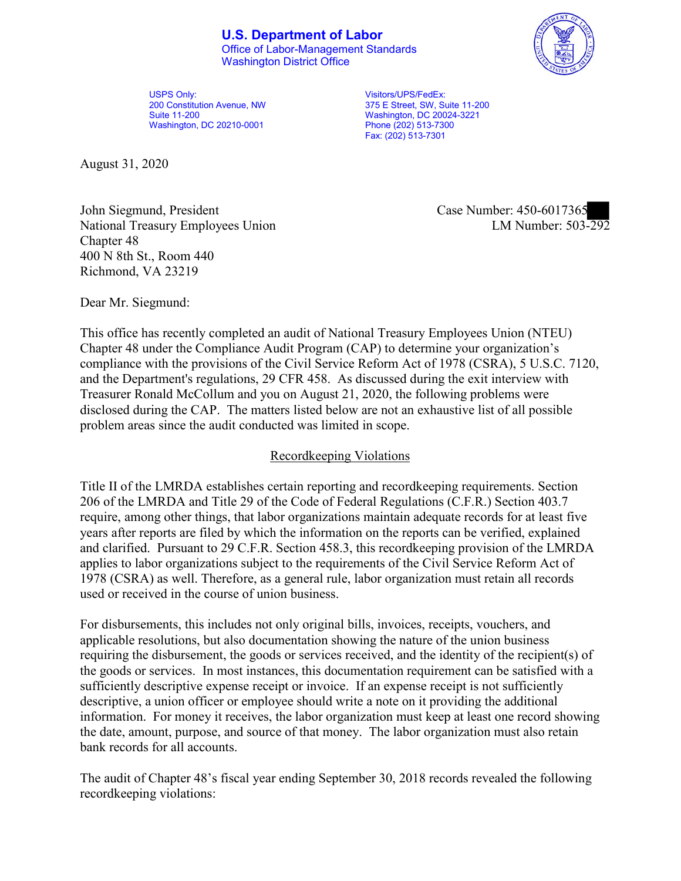## **U.S. Department of Labor**

Office of Labor-Management Standards Washington District Office



Visitors/UPS/FedEx: 375 E Street, SW, Suite 11-200 Washington, DC 20024-3221 Phone (202) 513-7300 Fax: (202) 513-7301

August 31, 2020

John Siegmund, President Case Number: 450-6017365 National Treasury Employees Union Chapter 48 400 N 8th St., Room 440 Richmond, VA 23219

LM Number:  $503 - 292$ 

Dear Mr. Siegmund:

This office has recently completed an audit of National Treasury Employees Union (NTEU) Chapter 48 under the Compliance Audit Program (CAP) to determine your organization's compliance with the provisions of the Civil Service Reform Act of 1978 (CSRA), 5 U.S.C. 7120, and the Department's regulations, 29 CFR 458. As discussed during the exit interview with Treasurer Ronald McCollum and you on August 21, 2020, the following problems were disclosed during the CAP. The matters listed below are not an exhaustive list of all possible problem areas since the audit conducted was limited in scope.

## Recordkeeping Violations

Title II of the LMRDA establishes certain reporting and recordkeeping requirements. Section 206 of the LMRDA and Title 29 of the Code of Federal Regulations (C.F.R.) Section 403.7 require, among other things, that labor organizations maintain adequate records for at least five years after reports are filed by which the information on the reports can be verified, explained and clarified. Pursuant to 29 C.F.R. Section 458.3, this recordkeeping provision of the LMRDA applies to labor organizations subject to the requirements of the Civil Service Reform Act of 1978 (CSRA) as well. Therefore, as a general rule, labor organization must retain all records used or received in the course of union business.

For disbursements, this includes not only original bills, invoices, receipts, vouchers, and applicable resolutions, but also documentation showing the nature of the union business requiring the disbursement, the goods or services received, and the identity of the recipient(s) of the goods or services. In most instances, this documentation requirement can be satisfied with a sufficiently descriptive expense receipt or invoice. If an expense receipt is not sufficiently descriptive, a union officer or employee should write a note on it providing the additional information. For money it receives, the labor organization must keep at least one record showing the date, amount, purpose, and source of that money. The labor organization must also retain bank records for all accounts.

The audit of Chapter 48's fiscal year ending September 30, 2018 records revealed the following recordkeeping violations:

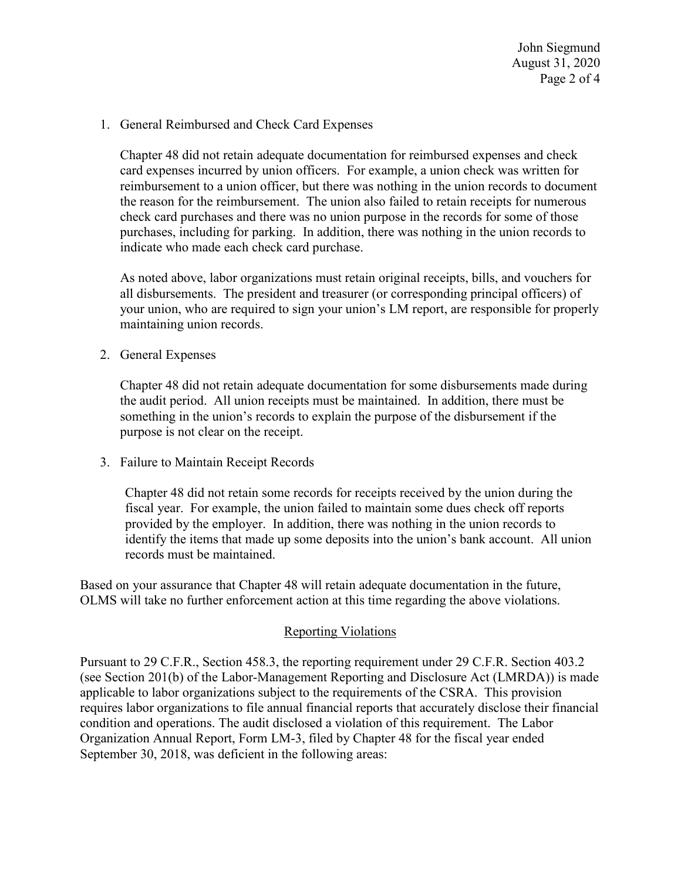1. General Reimbursed and Check Card Expenses

Chapter 48 did not retain adequate documentation for reimbursed expenses and check card expenses incurred by union officers. For example, a union check was written for reimbursement to a union officer, but there was nothing in the union records to document the reason for the reimbursement. The union also failed to retain receipts for numerous check card purchases and there was no union purpose in the records for some of those purchases, including for parking. In addition, there was nothing in the union records to indicate who made each check card purchase.

As noted above, labor organizations must retain original receipts, bills, and vouchers for all disbursements. The president and treasurer (or corresponding principal officers) of your union, who are required to sign your union's LM report, are responsible for properly maintaining union records.

2. General Expenses

Chapter 48 did not retain adequate documentation for some disbursements made during the audit period. All union receipts must be maintained. In addition, there must be something in the union's records to explain the purpose of the disbursement if the purpose is not clear on the receipt.

3. Failure to Maintain Receipt Records

Chapter 48 did not retain some records for receipts received by the union during the fiscal year. For example, the union failed to maintain some dues check off reports provided by the employer. In addition, there was nothing in the union records to identify the items that made up some deposits into the union's bank account. All union records must be maintained.

Based on your assurance that Chapter 48 will retain adequate documentation in the future, OLMS will take no further enforcement action at this time regarding the above violations.

## Reporting Violations

Pursuant to 29 C.F.R., Section 458.3, the reporting requirement under 29 C.F.R. Section 403.2 (see Section 201(b) of the Labor-Management Reporting and Disclosure Act (LMRDA)) is made applicable to labor organizations subject to the requirements of the CSRA. This provision requires labor organizations to file annual financial reports that accurately disclose their financial condition and operations. The audit disclosed a violation of this requirement. The Labor Organization Annual Report, Form LM-3, filed by Chapter 48 for the fiscal year ended September 30, 2018, was deficient in the following areas: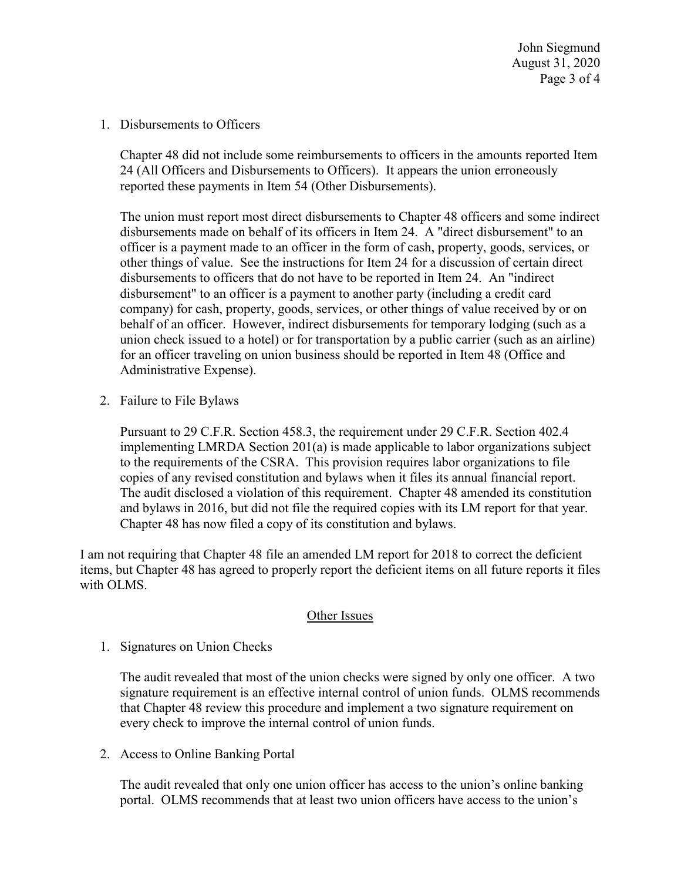John Siegmund August 31, 2020 Page 3 of 4

1. Disbursements to Officers

Chapter 48 did not include some reimbursements to officers in the amounts reported Item 24 (All Officers and Disbursements to Officers). It appears the union erroneously reported these payments in Item 54 (Other Disbursements).

The union must report most direct disbursements to Chapter 48 officers and some indirect disbursements made on behalf of its officers in Item 24. A "direct disbursement" to an officer is a payment made to an officer in the form of cash, property, goods, services, or other things of value. See the instructions for Item 24 for a discussion of certain direct disbursements to officers that do not have to be reported in Item 24. An "indirect disbursement" to an officer is a payment to another party (including a credit card company) for cash, property, goods, services, or other things of value received by or on behalf of an officer. However, indirect disbursements for temporary lodging (such as a union check issued to a hotel) or for transportation by a public carrier (such as an airline) for an officer traveling on union business should be reported in Item 48 (Office and Administrative Expense).

2. Failure to File Bylaws

Pursuant to 29 C.F.R. Section 458.3, the requirement under 29 C.F.R. Section 402.4 implementing LMRDA Section 201(a) is made applicable to labor organizations subject to the requirements of the CSRA. This provision requires labor organizations to file copies of any revised constitution and bylaws when it files its annual financial report. The audit disclosed a violation of this requirement. Chapter 48 amended its constitution and bylaws in 2016, but did not file the required copies with its LM report for that year. Chapter 48 has now filed a copy of its constitution and bylaws.

I am not requiring that Chapter 48 file an amended LM report for 2018 to correct the deficient items, but Chapter 48 has agreed to properly report the deficient items on all future reports it files with OLMS.

## Other Issues

1. Signatures on Union Checks

The audit revealed that most of the union checks were signed by only one officer. A two signature requirement is an effective internal control of union funds. OLMS recommends that Chapter 48 review this procedure and implement a two signature requirement on every check to improve the internal control of union funds.

2. Access to Online Banking Portal

The audit revealed that only one union officer has access to the union's online banking portal. OLMS recommends that at least two union officers have access to the union's